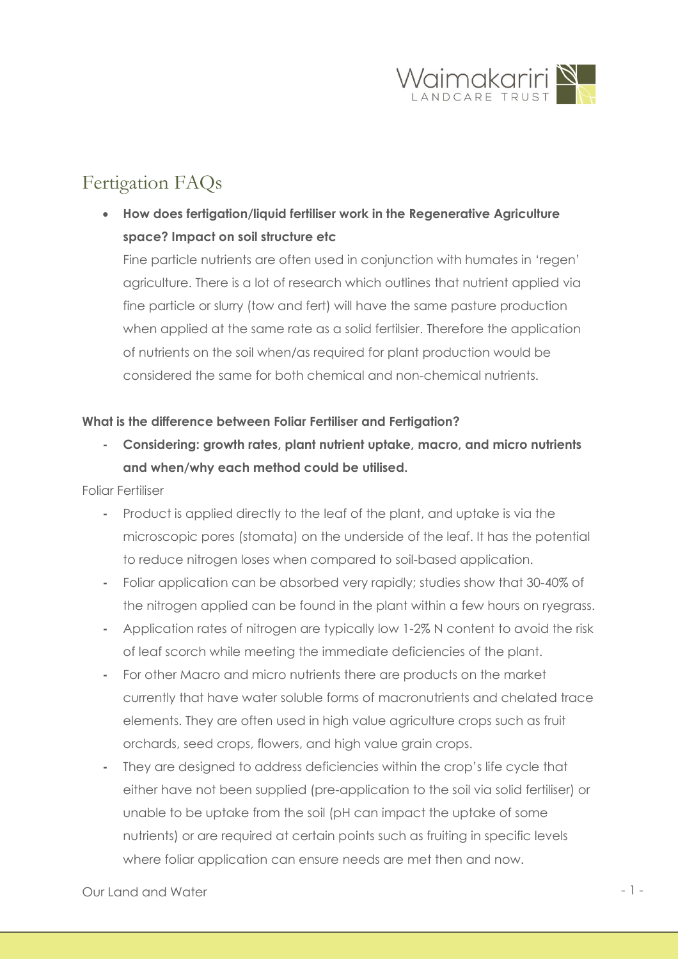

# Fertigation FAQs

• **How does fertigation/liquid fertiliser work in the Regenerative Agriculture space? Impact on soil structure etc**

Fine particle nutrients are often used in conjunction with humates in 'regen' agriculture. There is a lot of research which outlines that nutrient applied via fine particle or slurry (tow and fert) will have the same pasture production when applied at the same rate as a solid fertilsier. Therefore the application of nutrients on the soil when/as required for plant production would be considered the same for both chemical and non-chemical nutrients.

## **What is the difference between Foliar Fertiliser and Fertigation?**

**- Considering: growth rates, plant nutrient uptake, macro, and micro nutrients and when/why each method could be utilised.** 

Foliar Fertiliser

- **-** Product is applied directly to the leaf of the plant, and uptake is via the microscopic pores (stomata) on the underside of the leaf. It has the potential to reduce nitrogen loses when compared to soil-based application.
- **-** Foliar application can be absorbed very rapidly; studies show that 30-40% of the nitrogen applied can be found in the plant within a few hours on ryegrass.
- **-** Application rates of nitrogen are typically low 1-2% N content to avoid the risk of leaf scorch while meeting the immediate deficiencies of the plant.
- **-** For other Macro and micro nutrients there are products on the market currently that have water soluble forms of macronutrients and chelated trace elements. They are often used in high value agriculture crops such as fruit orchards, seed crops, flowers, and high value grain crops.
- **-** They are designed to address deficiencies within the crop's life cycle that either have not been supplied (pre-application to the soil via solid fertiliser) or unable to be uptake from the soil (pH can impact the uptake of some nutrients) or are required at certain points such as fruiting in specific levels where foliar application can ensure needs are met then and now.

# Our Land and Water  $-1$  -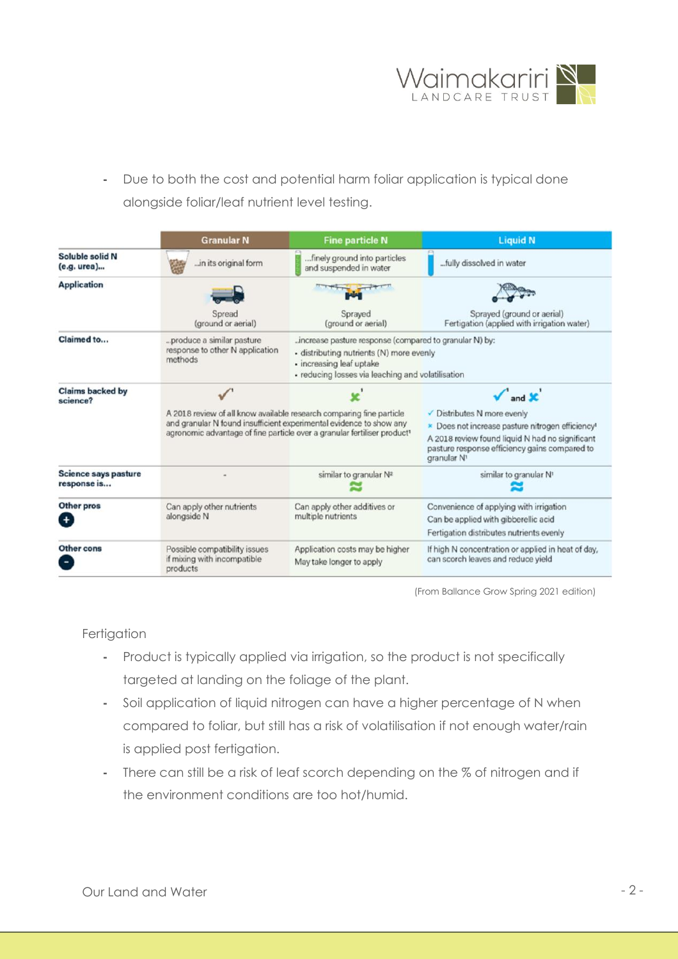

**-** Due to both the cost and potential harm foliar application is typical done alongside foliar/leaf nutrient level testing.

|                                     | <b>Granular N</b>                                                                                                                                                                                                                                              | <b>Fine particle N</b>                                      | <b>Liquid N</b>                                                                                                             |
|-------------------------------------|----------------------------------------------------------------------------------------------------------------------------------------------------------------------------------------------------------------------------------------------------------------|-------------------------------------------------------------|-----------------------------------------------------------------------------------------------------------------------------|
| Soluble solid N<br>(e.g. urea)      | in its original form                                                                                                                                                                                                                                           | finely ground into particles<br>and suspended in water      | fully dissolved in water                                                                                                    |
| <b>Application</b>                  |                                                                                                                                                                                                                                                                |                                                             |                                                                                                                             |
|                                     | Spread<br>(ground or aerial)                                                                                                                                                                                                                                   | Sprayed<br>(ground or aerial)                               | Sprayed (ground or aerial)<br>Fertigation (applied with irrigation water)                                                   |
| Claimed to                          | produce a similar pasture<br>increase pasture response (compared to granular N) by:<br>response to other N application<br>· distributing nutrients (N) more evenly<br>methods<br>· increasing leaf uptake<br>· reducing losses via leaching and volatilisation |                                                             |                                                                                                                             |
| <b>Claims backed by</b><br>science? |                                                                                                                                                                                                                                                                |                                                             | $\sqrt{\ }$ and $\chi$                                                                                                      |
|                                     | A 2018 review of all know available research comparing fine particle<br>✔ Distributes N more evenly                                                                                                                                                            |                                                             |                                                                                                                             |
|                                     | and granular N found insufficient experimental evidence to show any<br>agronomic advantage of fine particle over a granular fertiliser product <sup>1</sup>                                                                                                    |                                                             | » Does not increase pasture nitrogen efficiency <sup>1</sup>                                                                |
|                                     |                                                                                                                                                                                                                                                                |                                                             | A 2018 review found liquid N had no significant<br>pasture response efficiency gains compared to<br>granular N <sup>1</sup> |
| Science says pasture<br>response is |                                                                                                                                                                                                                                                                | similar to granular N <sup>2</sup>                          | similar to granular N <sup>1</sup>                                                                                          |
| Other pros                          | Can apply other nutrients<br>alongside N                                                                                                                                                                                                                       | Can apply other additives or<br>multiple nutrients          | Convenience of applying with irrigation                                                                                     |
|                                     |                                                                                                                                                                                                                                                                |                                                             | Can be applied with gibberellic acid                                                                                        |
|                                     |                                                                                                                                                                                                                                                                |                                                             | Fertigation distributes nutrients evenly                                                                                    |
| Other cons                          | Possible compatibility issues<br>if mixing with incompatible<br>products                                                                                                                                                                                       | Application costs may be higher<br>May take longer to apply | If high N concentration or applied in heat of day,<br>can scorch leaves and reduce yield                                    |

(From Ballance Grow Spring 2021 edition)

#### Fertigation

- **-** Product is typically applied via irrigation, so the product is not specifically targeted at landing on the foliage of the plant.
- **-** Soil application of liquid nitrogen can have a higher percentage of N when compared to foliar, but still has a risk of volatilisation if not enough water/rain is applied post fertigation.
- **-** There can still be a risk of leaf scorch depending on the % of nitrogen and if the environment conditions are too hot/humid.